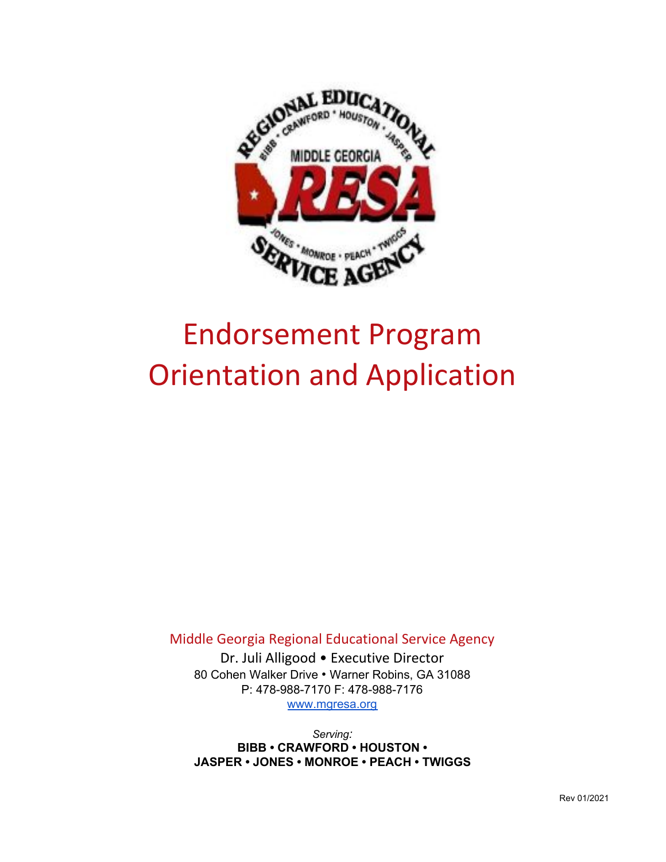

# Endorsement Program Orientation and Application

Middle Georgia Regional Educational Service Agency

Dr. Juli Alligood • Executive Director 80 Cohen Walker Drive *•* Warner Robins, GA 31088 P: 478-988-7170 F: 478-988-7176 www.mgresa.org

*Serving:* **BIBB • CRAWFORD • HOUSTON • JASPER • JONES • MONROE • PEACH • TWIGGS**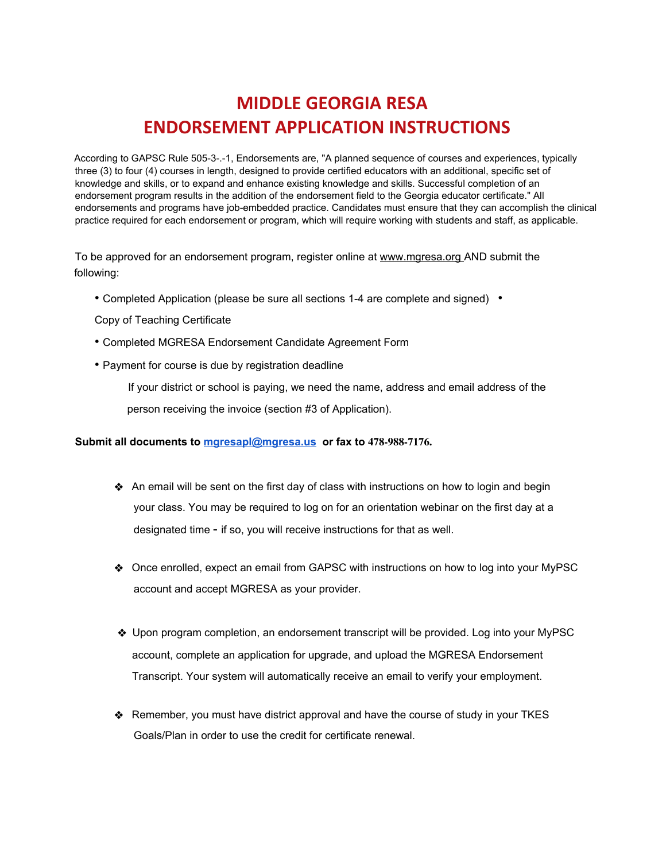# **MIDDLE GEORGIA RESA ENDORSEMENT APPLICATION INSTRUCTIONS**

According to GAPSC Rule 505-3-.-1, Endorsements are, "A planned sequence of courses and experiences, typically three (3) to four (4) courses in length, designed to provide certified educators with an additional, specific set of knowledge and skills, or to expand and enhance existing knowledge and skills. Successful completion of an endorsement program results in the addition of the endorsement field to the Georgia educator certificate." All endorsements and programs have job-embedded practice. Candidates must ensure that they can accomplish the clinical practice required for each endorsement or program, which will require working with students and staff, as applicable.

To be approved for an endorsement program, register online at www.mgresa.org AND submit the following:

- Completed Application (please be sure all sections 1-4 are complete and signed) •
- Copy of Teaching Certificate
- Completed MGRESA Endorsement Candidate Agreement Form
- Payment for course is due by registration deadline

If your district or school is paying, we need the name, address and email address of the person receiving the invoice (section #3 of Application).

#### **Submit all documents to [mgresapl@mgresa.us](mailto:mgresapl@mgresa.us) or fax to 478-988-7176.**

- ❖ An email will be sent on the first day of class with instructions on how to login and begin your class. You may be required to log on for an orientation webinar on the first day at a designated time - if so, you will receive instructions for that as well.
- ❖ Once enrolled, expect an email from GAPSC with instructions on how to log into your MyPSC account and accept MGRESA as your provider.
- ❖ Upon program completion, an endorsement transcript will be provided. Log into your MyPSC account, complete an application for upgrade, and upload the MGRESA Endorsement Transcript. Your system will automatically receive an email to verify your employment.
- ❖ Remember, you must have district approval and have the course of study in your TKES Goals/Plan in order to use the credit for certificate renewal.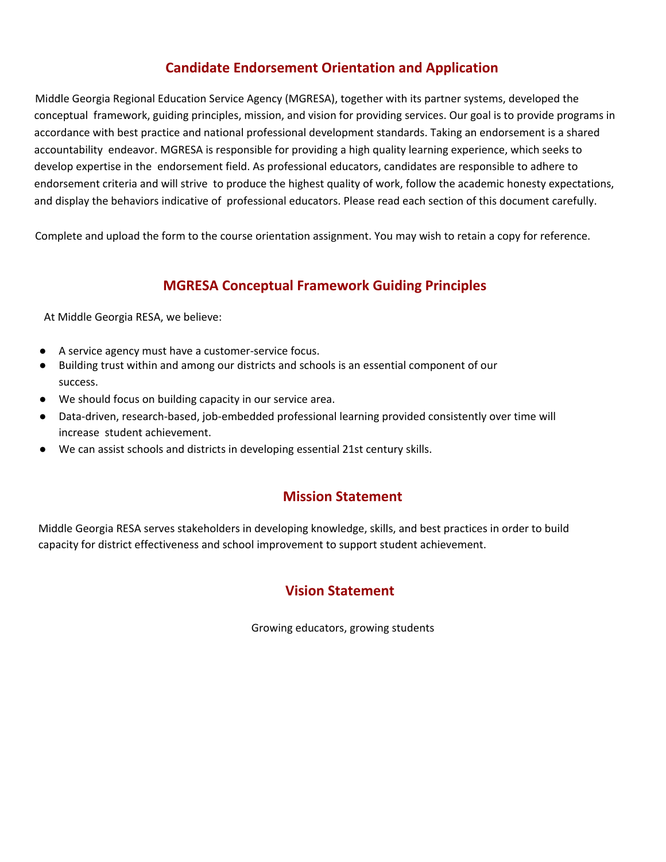# **Candidate Endorsement Orientation and Application**

Middle Georgia Regional Education Service Agency (MGRESA), together with its partner systems, developed the conceptual framework, guiding principles, mission, and vision for providing services. Our goal is to provide programs in accordance with best practice and national professional development standards. Taking an endorsement is a shared accountability endeavor. MGRESA is responsible for providing a high quality learning experience, which seeks to develop expertise in the endorsement field. As professional educators, candidates are responsible to adhere to endorsement criteria and will strive to produce the highest quality of work, follow the academic honesty expectations, and display the behaviors indicative of professional educators. Please read each section of this document carefully.

Complete and upload the form to the course orientation assignment. You may wish to retain a copy for reference.

# **MGRESA Conceptual Framework Guiding Principles**

At Middle Georgia RESA, we believe:

- A service agency must have a customer-service focus.
- Building trust within and among our districts and schools is an essential component of our success.
- We should focus on building capacity in our service area.
- Data-driven, research-based, job-embedded professional learning provided consistently over time will increase student achievement.
- We can assist schools and districts in developing essential 21st century skills.

# **Mission Statement**

Middle Georgia RESA serves stakeholders in developing knowledge, skills, and best practices in order to build capacity for district effectiveness and school improvement to support student achievement.

# **Vision Statement**

Growing educators, growing students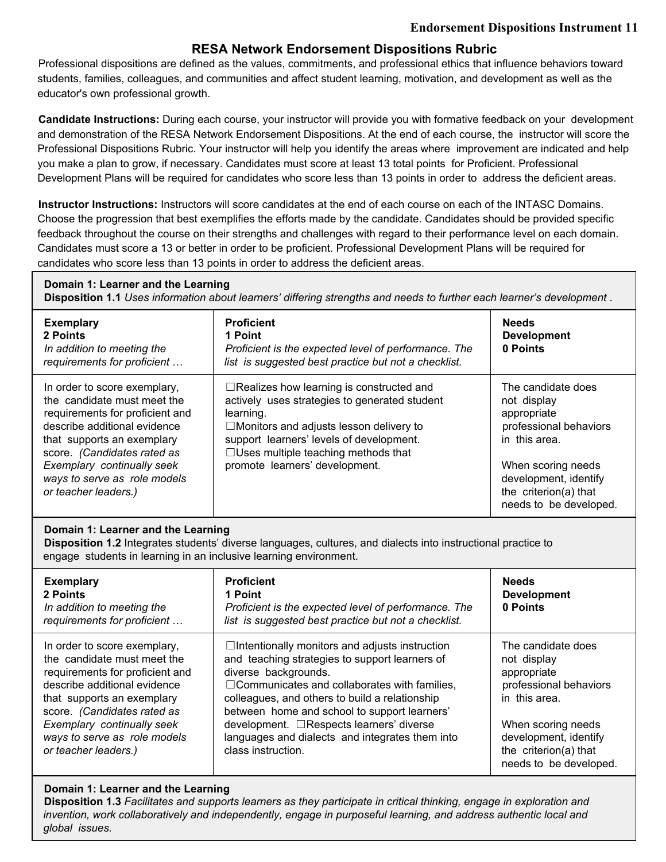## **RESA Network Endorsement Dispositions Rubric**

Professional dispositions are defined as the values, commitments, and professional ethics that influence behaviors toward students, families, colleagues, and communities and affect student learning, motivation, and development as well as the educator's own professional growth.

**Candidate Instructions:** During each course, your instructor will provide you with formative feedback on your development and demonstration of the RESA Network Endorsement Dispositions. At the end of each course, the instructor will score the Professional Dispositions Rubric. Your instructor will help you identify the areas where improvement are indicated and help you make a plan to grow, if necessary. Candidates must score at least 13 total points for Proficient. Professional Development Plans will be required for candidates who score less than 13 points in order to address the deficient areas.

**Instructor Instructions:** Instructors will score candidates at the end of each course on each of the INTASC Domains. Choose the progression that best exemplifies the efforts made by the candidate. Candidates should be provided specific feedback throughout the course on their strengths and challenges with regard to their performance level on each domain. Candidates must score a 13 or better in order to be proficient. Professional Development Plans will be required for candidates who score less than 13 points in order to address the deficient areas.

# **Domain 1: Learner and the Learning**

**Disposition 1.1** *Uses information about learners' differing strengths and needs to further each learner's development* .

| <b>Exemplary</b><br>2 Points<br>In addition to meeting the<br>requirements for proficient                                                                                                                                                                                         | <b>Proficient</b><br>1 Point<br>Proficient is the expected level of performance. The<br>list is suggested best practice but not a checklist.                                                                                                                                                | <b>Needs</b><br><b>Development</b><br>0 Points                                                                                                                                                |
|-----------------------------------------------------------------------------------------------------------------------------------------------------------------------------------------------------------------------------------------------------------------------------------|---------------------------------------------------------------------------------------------------------------------------------------------------------------------------------------------------------------------------------------------------------------------------------------------|-----------------------------------------------------------------------------------------------------------------------------------------------------------------------------------------------|
| In order to score exemplary,<br>the candidate must meet the<br>requirements for proficient and<br>describe additional evidence<br>that supports an exemplary<br>score. (Candidates rated as<br>Exemplary continually seek<br>ways to serve as role models<br>or teacher leaders.) | $\Box$ Realizes how learning is constructed and<br>actively uses strategies to generated student<br>learning.<br>$\Box$ Monitors and adjusts lesson delivery to<br>support learners' levels of development.<br>$\Box$ Uses multiple teaching methods that<br>promote learners' development. | The candidate does<br>not display<br>appropriate<br>professional behaviors<br>in this area.<br>When scoring needs<br>development, identify<br>the criterion(a) that<br>needs to be developed. |

#### **Domain 1: Learner and the Learning**

**Disposition 1.2** Integrates students' diverse languages, cultures, and dialects into instructional practice to engage students in learning in an inclusive learning environment.

| <b>Exemplary</b><br>2 Points<br>In addition to meeting the<br>requirements for proficient | <b>Proficient</b><br>1 Point<br>Proficient is the expected level of performance. The<br>list is suggested best practice but not a checklist. | <b>Needs</b><br><b>Development</b><br>0 Points |
|-------------------------------------------------------------------------------------------|----------------------------------------------------------------------------------------------------------------------------------------------|------------------------------------------------|
| In order to score exemplary,                                                              | $\Box$ Intentionally monitors and adjusts instruction                                                                                        | The candidate does                             |
| the candidate must meet the                                                               | and teaching strategies to support learners of                                                                                               | not display                                    |
| requirements for proficient and                                                           | diverse backgrounds.                                                                                                                         | appropriate                                    |
| describe additional evidence                                                              | □ Communicates and collaborates with families,                                                                                               | professional behaviors                         |
| that supports an exemplary                                                                | colleagues, and others to build a relationship                                                                                               | in this area.                                  |
| score. (Candidates rated as                                                               | between home and school to support learners'                                                                                                 | When scoring needs                             |
| Exemplary continually seek                                                                | development. □Respects learners' diverse                                                                                                     | development, identify                          |
| ways to serve as role models                                                              | languages and dialects and integrates them into                                                                                              | the criterion(a) that                          |
| or teacher leaders.)                                                                      | class instruction.                                                                                                                           | needs to be developed.                         |

#### **Domain 1: Learner and the Learning**

Disposition 1.3 Facilitates and supports learners as they participate in critical thinking, engage in exploration and *invention, work collaboratively and independently, engage in purposeful learning, and address authentic local and global issues.*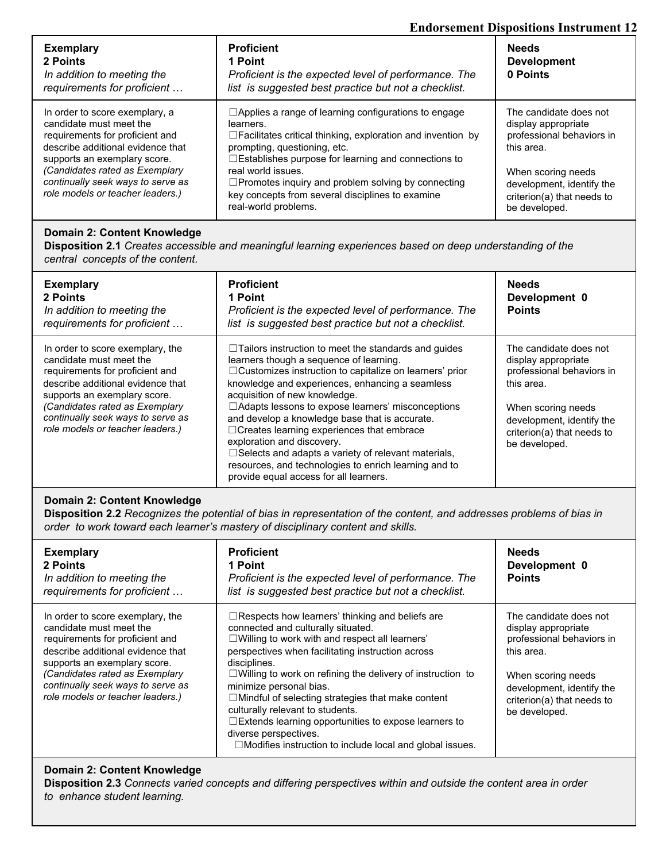#### **Endorsement Dispositions Instrument 12**

| <b>Exemplary</b><br>2 Points<br>In addition to meeting the<br>requirements for proficient                                                                         | <b>Proficient</b><br>1 Point<br>Proficient is the expected level of performance. The<br>list is suggested best practice but not a checklist.                                                                                                 | <b>Needs</b><br><b>Development</b><br>0 Points                                                 |
|-------------------------------------------------------------------------------------------------------------------------------------------------------------------|----------------------------------------------------------------------------------------------------------------------------------------------------------------------------------------------------------------------------------------------|------------------------------------------------------------------------------------------------|
| In order to score exemplary, a<br>candidate must meet the<br>requirements for proficient and<br>describe additional evidence that<br>supports an exemplary score. | $\Box$ Applies a range of learning configurations to engage<br>learners.<br>$\Box$ Facilitates critical thinking, exploration and invention by<br>prompting, questioning, etc.<br>$\Box$ Establishes purpose for learning and connections to | The candidate does not<br>display appropriate<br>professional behaviors in<br>this area.       |
| (Candidates rated as Exemplary<br>continually seek ways to serve as<br>role models or teacher leaders.)                                                           | real world issues.<br>□Promotes inquiry and problem solving by connecting<br>key concepts from several disciplines to examine<br>real-world problems.                                                                                        | When scoring needs<br>development, identify the<br>criterion(a) that needs to<br>be developed. |

#### **Domain 2: Content Knowledge**

**Disposition 2.1** *Creates accessible and meaningful learning experiences based on deep understanding of the central concepts of the content.*

| <b>Exemplary</b><br>2 Points<br>In addition to meeting the<br>requirements for proficient                                                                                                                                                                                      | <b>Proficient</b><br>1 Point<br>Proficient is the expected level of performance. The<br>list is suggested best practice but not a checklist.                                                                                                                                                                                                                                                                                                                                                                                                                                                                        | <b>Needs</b><br>Development 0<br><b>Points</b>                                                                                                                                             |
|--------------------------------------------------------------------------------------------------------------------------------------------------------------------------------------------------------------------------------------------------------------------------------|---------------------------------------------------------------------------------------------------------------------------------------------------------------------------------------------------------------------------------------------------------------------------------------------------------------------------------------------------------------------------------------------------------------------------------------------------------------------------------------------------------------------------------------------------------------------------------------------------------------------|--------------------------------------------------------------------------------------------------------------------------------------------------------------------------------------------|
| In order to score exemplary, the<br>candidate must meet the<br>requirements for proficient and<br>describe additional evidence that<br>supports an exemplary score.<br>(Candidates rated as Exemplary<br>continually seek ways to serve as<br>role models or teacher leaders.) | $\Box$ Tailors instruction to meet the standards and quides<br>learners though a sequence of learning.<br>□ Customizes instruction to capitalize on learners' prior<br>knowledge and experiences, enhancing a seamless<br>acquisition of new knowledge.<br>$\Box$ Adapts lessons to expose learners' misconceptions<br>and develop a knowledge base that is accurate.<br>$\Box$ Creates learning experiences that embrace<br>exploration and discovery.<br>□ Selects and adapts a variety of relevant materials,<br>resources, and technologies to enrich learning and to<br>provide equal access for all learners. | The candidate does not<br>display appropriate<br>professional behaviors in<br>this area.<br>When scoring needs<br>development, identify the<br>criterion(a) that needs to<br>be developed. |

#### **Domain 2: Content Knowledge**

Disposition 2.2 Recognizes the potential of bias in representation of the content, and addresses problems of bias in *order to work toward each learner's mastery of disciplinary content and skills.*

| <b>Exemplary</b><br>2 Points<br>In addition to meeting the<br>requirements for proficient                                                                                                                                                                                      | <b>Proficient</b><br>1 Point<br>Proficient is the expected level of performance. The<br>list is suggested best practice but not a checklist.                                                                                                                                                                                                                                                                                                                                                                                                                                    | <b>Needs</b><br>Development 0<br><b>Points</b>                                                                                                                                             |
|--------------------------------------------------------------------------------------------------------------------------------------------------------------------------------------------------------------------------------------------------------------------------------|---------------------------------------------------------------------------------------------------------------------------------------------------------------------------------------------------------------------------------------------------------------------------------------------------------------------------------------------------------------------------------------------------------------------------------------------------------------------------------------------------------------------------------------------------------------------------------|--------------------------------------------------------------------------------------------------------------------------------------------------------------------------------------------|
| In order to score exemplary, the<br>candidate must meet the<br>requirements for proficient and<br>describe additional evidence that<br>supports an exemplary score.<br>(Candidates rated as Exemplary<br>continually seek ways to serve as<br>role models or teacher leaders.) | $\Box$ Respects how learners' thinking and beliefs are<br>connected and culturally situated.<br>□Willing to work with and respect all learners'<br>perspectives when facilitating instruction across<br>disciplines.<br>$\Box$ Willing to work on refining the delivery of instruction to<br>minimize personal bias.<br>$\Box$ Mindful of selecting strategies that make content<br>culturally relevant to students.<br>$\Box$ Extends learning opportunities to expose learners to<br>diverse perspectives.<br>$\Box$ Modifies instruction to include local and global issues. | The candidate does not<br>display appropriate<br>professional behaviors in<br>this area.<br>When scoring needs<br>development, identify the<br>criterion(a) that needs to<br>be developed. |

#### **Domain 2: Content Knowledge**

**Disposition 2.3** *Connects varied concepts and differing perspectives within and outside the content area in order to enhance student learning.*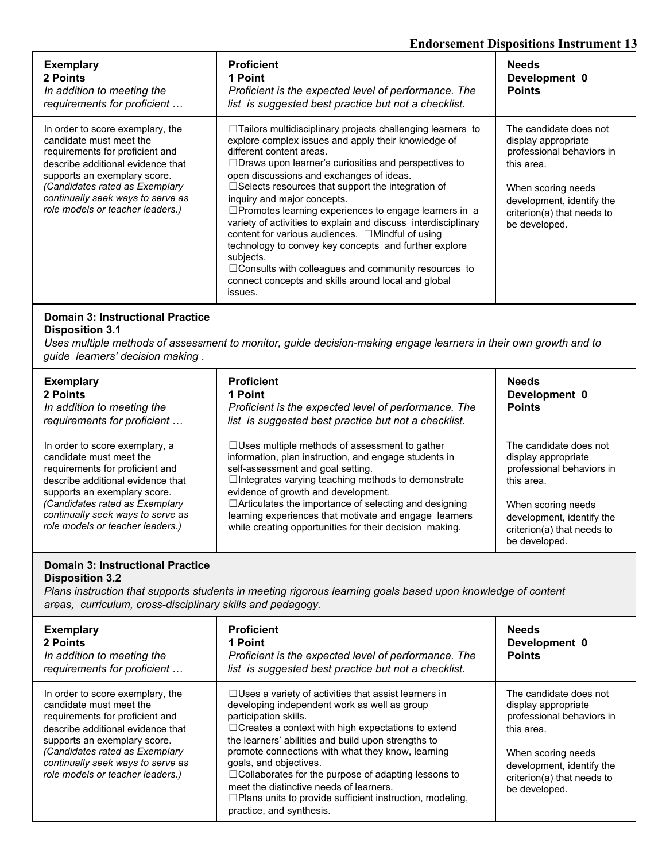#### **Endorsement Dispositions Instrument 13**

| <b>Exemplary</b><br>2 Points<br>In addition to meeting the<br>requirements for proficient                                                                                                                                                                                      | <b>Proficient</b><br>1 Point<br>Proficient is the expected level of performance. The<br>list is suggested best practice but not a checklist.                                                                                                                                                                                                                                                                                                                                                                                                                                                                                                                                                                                                                 | <b>Needs</b><br>Development 0<br><b>Points</b>                                                                                                                                             |
|--------------------------------------------------------------------------------------------------------------------------------------------------------------------------------------------------------------------------------------------------------------------------------|--------------------------------------------------------------------------------------------------------------------------------------------------------------------------------------------------------------------------------------------------------------------------------------------------------------------------------------------------------------------------------------------------------------------------------------------------------------------------------------------------------------------------------------------------------------------------------------------------------------------------------------------------------------------------------------------------------------------------------------------------------------|--------------------------------------------------------------------------------------------------------------------------------------------------------------------------------------------|
| In order to score exemplary, the<br>candidate must meet the<br>requirements for proficient and<br>describe additional evidence that<br>supports an exemplary score.<br>(Candidates rated as Exemplary<br>continually seek ways to serve as<br>role models or teacher leaders.) | $\Box$ Tailors multidisciplinary projects challenging learners to<br>explore complex issues and apply their knowledge of<br>different content areas.<br>$\Box$ Draws upon learner's curiosities and perspectives to<br>open discussions and exchanges of ideas.<br>$\Box$ Selects resources that support the integration of<br>inguiry and major concepts.<br>$\Box$ Promotes learning experiences to engage learners in a<br>variety of activities to explain and discuss interdisciplinary<br>content for various audiences. $\Box$ Mindful of using<br>technology to convey key concepts and further explore<br>subjects.<br>$\Box$ Consults with colleagues and community resources to<br>connect concepts and skills around local and global<br>issues. | The candidate does not<br>display appropriate<br>professional behaviors in<br>this area.<br>When scoring needs<br>development, identify the<br>criterion(a) that needs to<br>be developed. |

#### **Domain 3: Instructional Practice Disposition 3.1**

Uses multiple methods of assessment to monitor, guide decision-making engage learners in their own growth and to *guide learners' decision making* .

| <b>Exemplary</b><br>2 Points<br>In addition to meeting the<br>requirements for proficient | <b>Proficient</b><br>1 Point<br>Proficient is the expected level of performance. The<br>list is suggested best practice but not a checklist. | <b>Needs</b><br>Development 0<br><b>Points</b> |
|-------------------------------------------------------------------------------------------|----------------------------------------------------------------------------------------------------------------------------------------------|------------------------------------------------|
| In order to score exemplary, a                                                            | $\Box$ Uses multiple methods of assessment to gather                                                                                         | The candidate does not                         |
| candidate must meet the                                                                   | information, plan instruction, and engage students in                                                                                        | display appropriate                            |
| requirements for proficient and                                                           | self-assessment and goal setting.                                                                                                            | professional behaviors in                      |
| describe additional evidence that                                                         | $\Box$ Integrates varying teaching methods to demonstrate                                                                                    | this area.                                     |
| supports an exemplary score.                                                              | evidence of growth and development.                                                                                                          | When scoring needs                             |
| (Candidates rated as Exemplary                                                            | $\Box$ Articulates the importance of selecting and designing                                                                                 | development, identify the                      |
| continually seek ways to serve as                                                         | learning experiences that motivate and engage learners                                                                                       | criterion(a) that needs to                     |
| role models or teacher leaders.)                                                          | while creating opportunities for their decision making.                                                                                      | be developed.                                  |

#### **Domain 3: Instructional Practice Disposition 3.2**

*Plans instruction that supports students in meeting rigorous learning goals based upon knowledge of content areas, curriculum, cross-disciplinary skills and pedagogy.*

| <b>Exemplary</b><br>2 Points<br>In addition to meeting the<br>requirements for proficient                                                                                                                                                                                      | <b>Proficient</b><br>1 Point<br>Proficient is the expected level of performance. The<br>list is suggested best practice but not a checklist.                                                                                                                                                                                                                                                                                                                                                                                                    | <b>Needs</b><br>Development 0<br><b>Points</b>                                                                                                                                             |
|--------------------------------------------------------------------------------------------------------------------------------------------------------------------------------------------------------------------------------------------------------------------------------|-------------------------------------------------------------------------------------------------------------------------------------------------------------------------------------------------------------------------------------------------------------------------------------------------------------------------------------------------------------------------------------------------------------------------------------------------------------------------------------------------------------------------------------------------|--------------------------------------------------------------------------------------------------------------------------------------------------------------------------------------------|
| In order to score exemplary, the<br>candidate must meet the<br>requirements for proficient and<br>describe additional evidence that<br>supports an exemplary score.<br>(Candidates rated as Exemplary<br>continually seek ways to serve as<br>role models or teacher leaders.) | $\Box$ Uses a variety of activities that assist learners in<br>developing independent work as well as group<br>participation skills.<br>$\Box$ Creates a context with high expectations to extend<br>the learners' abilities and build upon strengths to<br>promote connections with what they know, learning<br>goals, and objectives.<br>$\Box$ Collaborates for the purpose of adapting lessons to<br>meet the distinctive needs of learners.<br>$\Box$ Plans units to provide sufficient instruction, modeling,<br>practice, and synthesis. | The candidate does not<br>display appropriate<br>professional behaviors in<br>this area.<br>When scoring needs<br>development, identify the<br>criterion(a) that needs to<br>be developed. |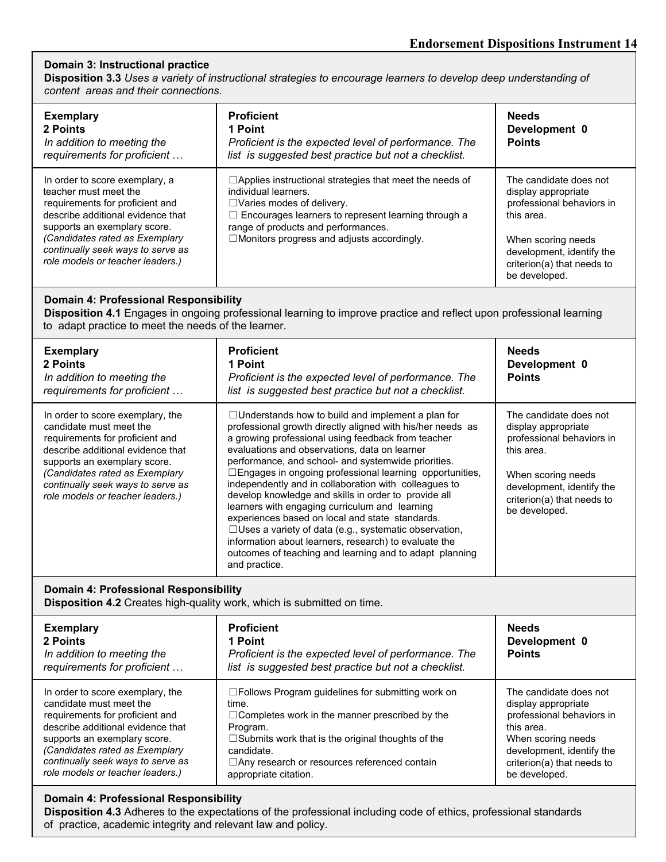#### **Domain 3: Instructional practice**

Disposition 3.3 Uses a variety of instructional strategies to encourage learners to develop deep understanding of *content areas and their connections.*

| <b>Exemplary</b><br>2 Points<br>In addition to meeting the<br>requirements for proficient                                                                                                                                                                                  | <b>Proficient</b><br>1 Point<br>Proficient is the expected level of performance. The<br>list is suggested best practice but not a checklist.                                                                                                                                         | <b>Needs</b><br>Development 0<br><b>Points</b>                                                                                                                                             |
|----------------------------------------------------------------------------------------------------------------------------------------------------------------------------------------------------------------------------------------------------------------------------|--------------------------------------------------------------------------------------------------------------------------------------------------------------------------------------------------------------------------------------------------------------------------------------|--------------------------------------------------------------------------------------------------------------------------------------------------------------------------------------------|
| In order to score exemplary, a<br>teacher must meet the<br>requirements for proficient and<br>describe additional evidence that<br>supports an exemplary score.<br>(Candidates rated as Exemplary<br>continually seek ways to serve as<br>role models or teacher leaders.) | $\Box$ Applies instructional strategies that meet the needs of<br>individual learners.<br>$\Box$ Varies modes of delivery.<br>$\Box$ Encourages learners to represent learning through a<br>range of products and performances.<br>$\Box$ Monitors progress and adjusts accordingly. | The candidate does not<br>display appropriate<br>professional behaviors in<br>this area.<br>When scoring needs<br>development, identify the<br>criterion(a) that needs to<br>be developed. |

#### **Domain 4: Professional Responsibility**

**Disposition 4.1** Engages in ongoing professional learning to improve practice and reflect upon professional learning to adapt practice to meet the needs of the learner.

| <b>Exemplary</b><br>2 Points<br>In addition to meeting the<br>requirements for proficient                                                                                                                                                                                      | <b>Proficient</b><br>1 Point<br>Proficient is the expected level of performance. The<br>list is suggested best practice but not a checklist.                                                                                                                                                                                                                                                                                                                                                                                                                                                                                                                                                                                                                                | <b>Needs</b><br>Development 0<br><b>Points</b>                                                                                                                                             |
|--------------------------------------------------------------------------------------------------------------------------------------------------------------------------------------------------------------------------------------------------------------------------------|-----------------------------------------------------------------------------------------------------------------------------------------------------------------------------------------------------------------------------------------------------------------------------------------------------------------------------------------------------------------------------------------------------------------------------------------------------------------------------------------------------------------------------------------------------------------------------------------------------------------------------------------------------------------------------------------------------------------------------------------------------------------------------|--------------------------------------------------------------------------------------------------------------------------------------------------------------------------------------------|
| In order to score exemplary, the<br>candidate must meet the<br>requirements for proficient and<br>describe additional evidence that<br>supports an exemplary score.<br>(Candidates rated as Exemplary<br>continually seek ways to serve as<br>role models or teacher leaders.) | $\Box$ Understands how to build and implement a plan for<br>professional growth directly aligned with his/her needs as<br>a growing professional using feedback from teacher<br>evaluations and observations, data on learner<br>performance, and school- and systemwide priorities.<br>□Engages in ongoing professional learning opportunities,<br>independently and in collaboration with colleagues to<br>develop knowledge and skills in order to provide all<br>learners with engaging curriculum and learning<br>experiences based on local and state standards.<br>$\Box$ Uses a variety of data (e.g., systematic observation,<br>information about learners, research) to evaluate the<br>outcomes of teaching and learning and to adapt planning<br>and practice. | The candidate does not<br>display appropriate<br>professional behaviors in<br>this area.<br>When scoring needs<br>development, identify the<br>criterion(a) that needs to<br>be developed. |

#### **Domain 4: Professional Responsibility**

**Disposition 4.2** Creates high-quality work, which is submitted on time.

| <b>Exemplary</b><br>2 Points<br>In addition to meeting the<br>requirements for proficient | <b>Proficient</b><br>1 Point<br>Proficient is the expected level of performance. The<br>list is suggested best practice but not a checklist. | <b>Needs</b><br>Development 0<br><b>Points</b> |
|-------------------------------------------------------------------------------------------|----------------------------------------------------------------------------------------------------------------------------------------------|------------------------------------------------|
| In order to score exemplary, the                                                          | □Follows Program guidelines for submitting work on                                                                                           | The candidate does not                         |
| candidate must meet the                                                                   | time.                                                                                                                                        | display appropriate                            |
| requirements for proficient and                                                           | $\Box$ Completes work in the manner prescribed by the                                                                                        | professional behaviors in                      |
| describe additional evidence that                                                         | Program.                                                                                                                                     | this area.                                     |
| supports an exemplary score.                                                              | $\square$ Submits work that is the original thoughts of the                                                                                  | When scoring needs                             |
| (Candidates rated as Exemplary                                                            | candidate.                                                                                                                                   | development, identify the                      |
| continually seek ways to serve as                                                         | □ Any research or resources referenced contain                                                                                               | criterion(a) that needs to                     |
| role models or teacher leaders.)                                                          | appropriate citation.                                                                                                                        | be developed.                                  |

#### **Domain 4: Professional Responsibility**

**Disposition 4.3** Adheres to the expectations of the professional including code of ethics, professional standards of practice, academic integrity and relevant law and policy.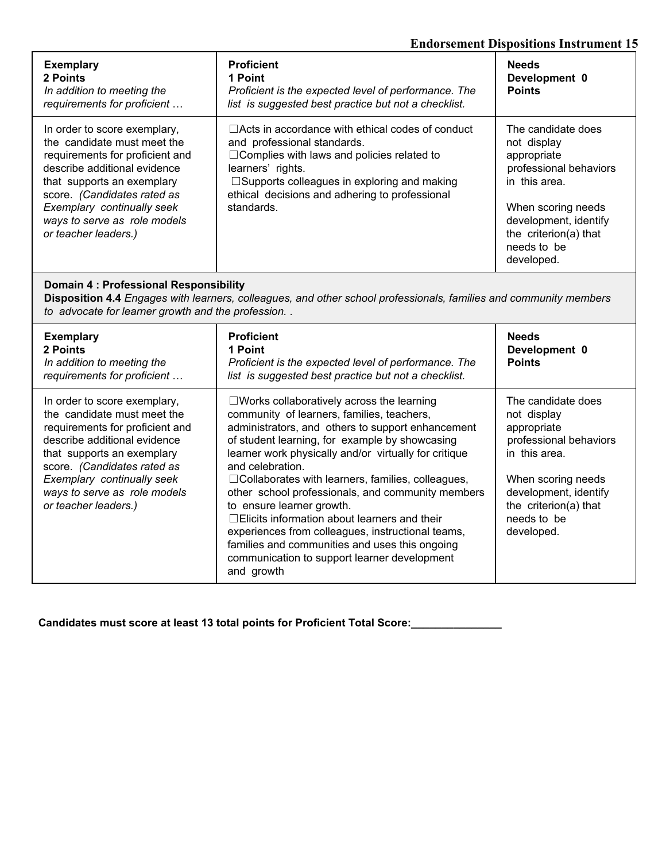## **Endorsement Dispositions Instrument 15**

| <b>Exemplary</b><br>2 Points<br>In addition to meeting the<br>requirements for proficient                                                                                                                                                                                         | <b>Proficient</b><br>1 Point<br>Proficient is the expected level of performance. The<br>list is suggested best practice but not a checklist.                                                                                                                                              | <b>Needs</b><br>Development 0<br><b>Points</b>                                                                                                                                                   |
|-----------------------------------------------------------------------------------------------------------------------------------------------------------------------------------------------------------------------------------------------------------------------------------|-------------------------------------------------------------------------------------------------------------------------------------------------------------------------------------------------------------------------------------------------------------------------------------------|--------------------------------------------------------------------------------------------------------------------------------------------------------------------------------------------------|
| In order to score exemplary,<br>the candidate must meet the<br>requirements for proficient and<br>describe additional evidence<br>that supports an exemplary<br>score. (Candidates rated as<br>Exemplary continually seek<br>ways to serve as role models<br>or teacher leaders.) | $\Box$ Acts in accordance with ethical codes of conduct<br>and professional standards.<br>$\Box$ Complies with laws and policies related to<br>learners' rights.<br>$\square$ Supports colleagues in exploring and making<br>ethical decisions and adhering to professional<br>standards. | The candidate does<br>not display<br>appropriate<br>professional behaviors<br>in this area.<br>When scoring needs<br>development, identify<br>the criterion(a) that<br>needs to be<br>developed. |

#### **Domain 4 : Professional Responsibility**

**Disposition 4.4** *Engages with learners, colleagues, and other school professionals, families and community members to advocate for learner growth and the profession.* .

| <b>Exemplary</b><br>2 Points<br>In addition to meeting the<br>requirements for proficient                                                                                                                                                                                         | <b>Proficient</b><br>1 Point<br>Proficient is the expected level of performance. The<br>list is suggested best practice but not a checklist.                                                                                                                                                                                                                                                                                                                                                                                                                                                                                                                    | <b>Needs</b><br>Development 0<br><b>Points</b>                                                                                                                                                   |
|-----------------------------------------------------------------------------------------------------------------------------------------------------------------------------------------------------------------------------------------------------------------------------------|-----------------------------------------------------------------------------------------------------------------------------------------------------------------------------------------------------------------------------------------------------------------------------------------------------------------------------------------------------------------------------------------------------------------------------------------------------------------------------------------------------------------------------------------------------------------------------------------------------------------------------------------------------------------|--------------------------------------------------------------------------------------------------------------------------------------------------------------------------------------------------|
| In order to score exemplary,<br>the candidate must meet the<br>requirements for proficient and<br>describe additional evidence<br>that supports an exemplary<br>score. (Candidates rated as<br>Exemplary continually seek<br>ways to serve as role models<br>or teacher leaders.) | $\square$ Works collaboratively across the learning<br>community of learners, families, teachers,<br>administrators, and others to support enhancement<br>of student learning, for example by showcasing<br>learner work physically and/or virtually for critique<br>and celebration.<br>$\Box$ Collaborates with learners, families, colleagues,<br>other school professionals, and community members<br>to ensure learner growth.<br>$\Box$ Elicits information about learners and their<br>experiences from colleagues, instructional teams,<br>families and communities and uses this ongoing<br>communication to support learner development<br>and growth | The candidate does<br>not display<br>appropriate<br>professional behaviors<br>in this area.<br>When scoring needs<br>development, identify<br>the criterion(a) that<br>needs to be<br>developed. |

**Candidates must score at least 13 total points for Proficient Total Score:\_\_\_\_\_\_\_\_\_\_\_\_\_\_\_**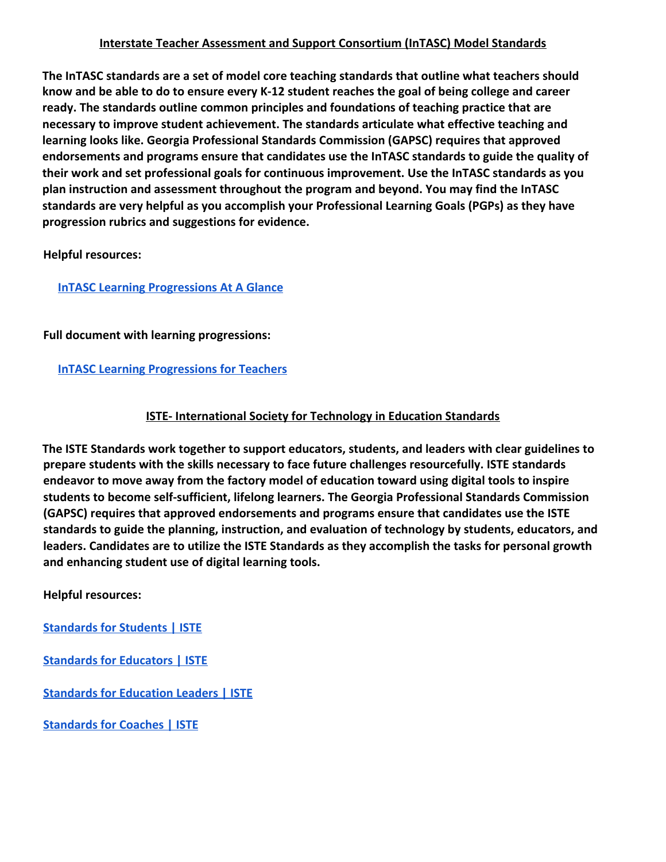## **Interstate Teacher Assessment and Support Consortium (InTASC) Model Standards**

**The InTASC standards are a set of model core teaching standards that outline what teachers should know and be able to do to ensure every K-12 student reaches the goal of being college and career ready. The standards outline common principles and foundations of teaching practice that are necessary to improve student achievement. The standards articulate what effective teaching and learning looks like. Georgia Professional Standards Commission (GAPSC) requires that approved endorsements and programs ensure that candidates use the InTASC standards to guide the quality of their work and set professional goals for continuous improvement. Use the InTASC standards as you plan instruction and assessment throughout the program and beyond. You may find the InTASC standards are very helpful as you accomplish your Professional Learning Goals (PGPs) as they have progression rubrics and suggestions for evidence.**

**Helpful resources:**

## **[InTASC Learning Progressions At A Glance](http://uprm.edu/cms/index.php?a=file&fid=6460)**

## **Full document with learning progressions:**

## **[InTASC Learning Progressions for Teachers](https://ccsso.org/sites/default/files/2017-12/2013_INTASC_Learning_Progressions_for_Teachers.pdf)**

## **ISTE- International Society for Technology in Education Standards**

**The ISTE Standards work together to support educators, students, and leaders with clear guidelines to prepare students with the skills necessary to face future challenges resourcefully. ISTE standards endeavor to move away from the factory model of education toward using digital tools to inspire students to become self-sufficient, lifelong learners. The Georgia Professional Standards Commission (GAPSC) requires that approved endorsements and programs ensure that candidates use the ISTE standards to guide the planning, instruction, and evaluation of technology by students, educators, and leaders. Candidates are to utilize the ISTE Standards as they accomplish the tasks for personal growth and enhancing student use of digital learning tools.**

**Helpful resources:**

**[Standards for Students | ISTE](https://www.iste.org/standards/for-students)**

**[Standards for Educators | ISTE](https://www.iste.org/standards/for-educators)**

**[Standards for Education Leaders | ISTE](https://www.iste.org/standards/for-education-leaders)**

**[Standards for Coaches | ISTE](https://www.iste.org/standards/for-coaches)**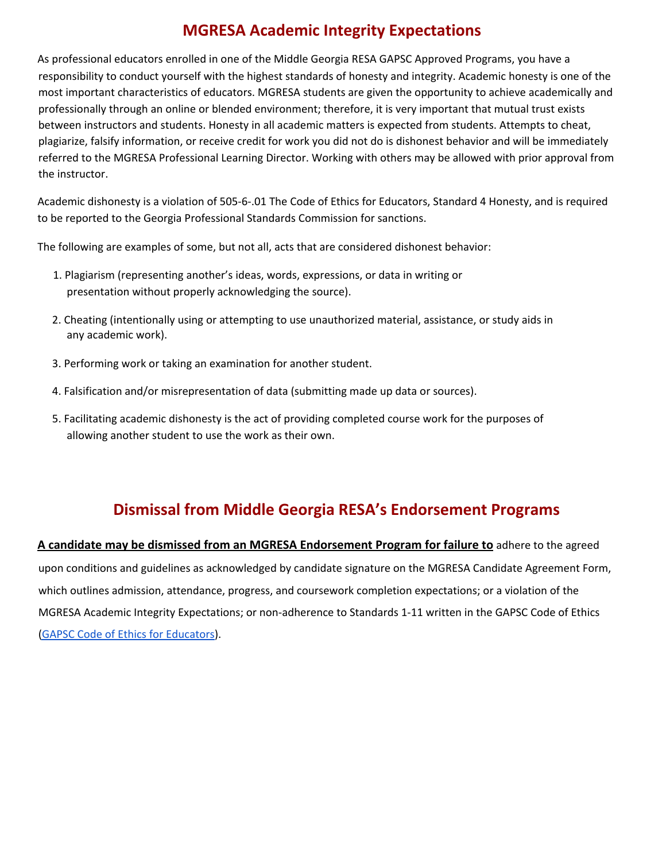# **MGRESA Academic Integrity Expectations**

As professional educators enrolled in one of the Middle Georgia RESA GAPSC Approved Programs, you have a responsibility to conduct yourself with the highest standards of honesty and integrity. Academic honesty is one of the most important characteristics of educators. MGRESA students are given the opportunity to achieve academically and professionally through an online or blended environment; therefore, it is very important that mutual trust exists between instructors and students. Honesty in all academic matters is expected from students. Attempts to cheat, plagiarize, falsify information, or receive credit for work you did not do is dishonest behavior and will be immediately referred to the MGRESA Professional Learning Director. Working with others may be allowed with prior approval from the instructor.

Academic dishonesty is a violation of 505-6-.01 The Code of Ethics for Educators, Standard 4 Honesty, and is required to be reported to the Georgia Professional Standards Commission for sanctions.

The following are examples of some, but not all, acts that are considered dishonest behavior:

- 1. Plagiarism (representing another's ideas, words, expressions, or data in writing or presentation without properly acknowledging the source).
- 2. Cheating (intentionally using or attempting to use unauthorized material, assistance, or study aids in any academic work).
- 3. Performing work or taking an examination for another student.
- 4. Falsification and/or misrepresentation of data (submitting made up data or sources).
- 5. Facilitating academic dishonesty is the act of providing completed course work for the purposes of allowing another student to use the work as their own.

# **Dismissal from Middle Georgia RESA's Endorsement Programs**

**A candidate may be dismissed from an MGRESA Endorsement Program for failure to** adhere to the agreed upon conditions and guidelines as acknowledged by candidate signature on the MGRESA Candidate Agreement Form, which outlines admission, attendance, progress, and coursework completion expectations; or a violation of the MGRESA Academic Integrity Expectations; or non-adherence to Standards 1-11 written in the GAPSC Code of Ethics (GAPSC Code of Ethics for [Educators](https://www.gapsc.com/Rules/Current/Ethics/505-6-.01.pdf)).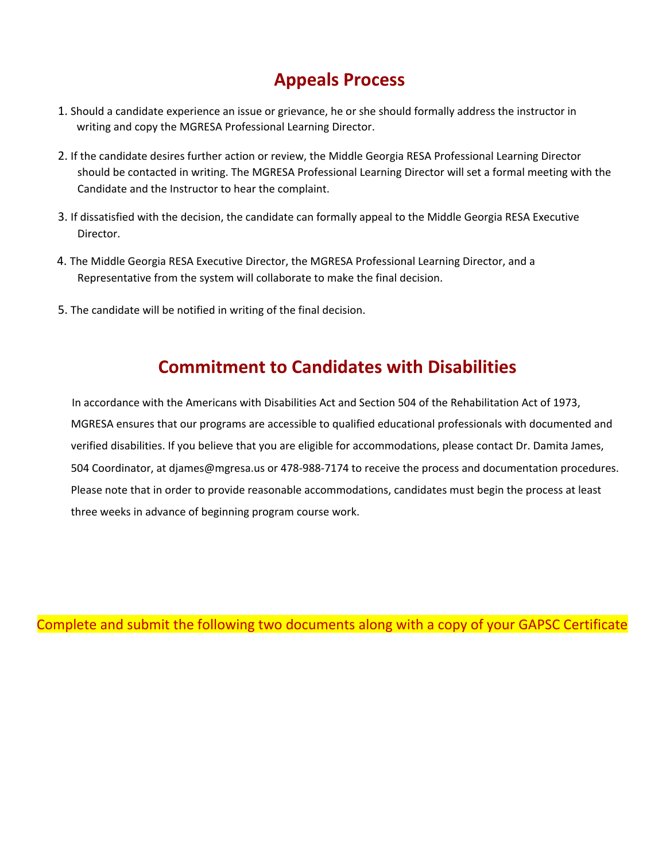# **Appeals Process**

- 1. Should a candidate experience an issue or grievance, he or she should formally address the instructor in writing and copy the MGRESA Professional Learning Director.
- 2. If the candidate desires further action or review, the Middle Georgia RESA Professional Learning Director should be contacted in writing. The MGRESA Professional Learning Director will set a formal meeting with the Candidate and the Instructor to hear the complaint.
- 3. If dissatisfied with the decision, the candidate can formally appeal to the Middle Georgia RESA Executive Director.
- 4. The Middle Georgia RESA Executive Director, the MGRESA Professional Learning Director, and a Representative from the system will collaborate to make the final decision.
- 5. The candidate will be notified in writing of the final decision.

# **Commitment to Candidates with Disabilities**

In accordance with the Americans with Disabilities Act and Section 504 of the Rehabilitation Act of 1973, MGRESA ensures that our programs are accessible to qualified educational professionals with documented and verified disabilities. If you believe that you are eligible for accommodations, please contact Dr. Damita James, 504 Coordinator, at djames@mgresa.us or 478-988-7174 to receive the process and documentation procedures. Please note that in order to provide reasonable accommodations, candidates must begin the process at least three weeks in advance of beginning program course work.

Complete and submit the following two documents along with a copy of your GAPSC Certificate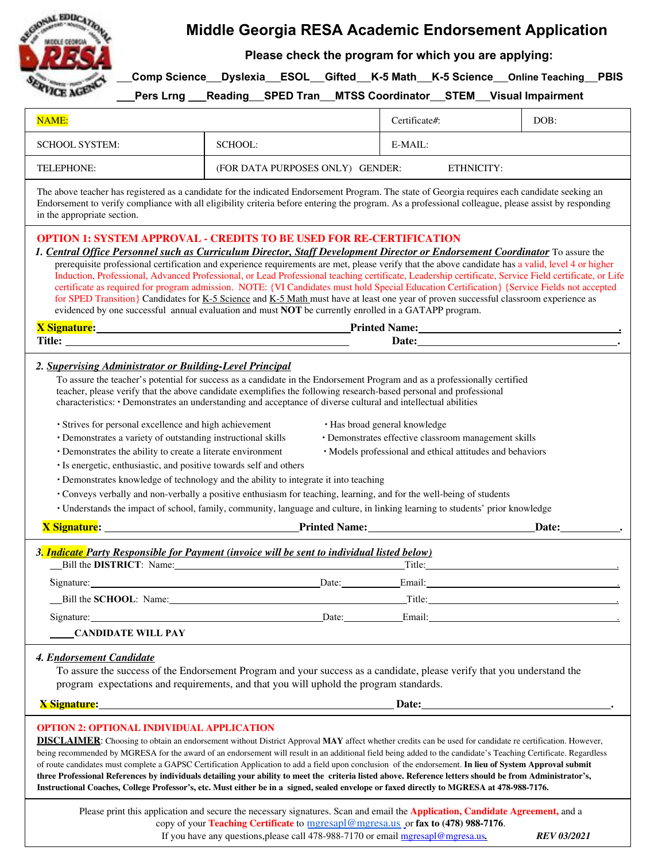

# **Middle Georgia RESA Academic Endorsement Application**

**Please check the program for which you are applying:**

**Comp Science Dyslexia ESOL Gifted K-5 Math K-5 Science Online Teaching PBIS**

**\_\_\_Pers Lrng** \_\_\_**Reading SPED Tran MTSS Coordinator STEM Visual Impairment**

| NAME:                                                                                                                                                                                                                                                                                                                                                                                                                                                                                                                                                                                                                                                                                                                                                                                                                                                                                                                                                                                                                                                                                                                                                                                                                                                                                                      |                                                                                                                                                                                                                                          | Certificate#:                                  | DOB: |  |
|------------------------------------------------------------------------------------------------------------------------------------------------------------------------------------------------------------------------------------------------------------------------------------------------------------------------------------------------------------------------------------------------------------------------------------------------------------------------------------------------------------------------------------------------------------------------------------------------------------------------------------------------------------------------------------------------------------------------------------------------------------------------------------------------------------------------------------------------------------------------------------------------------------------------------------------------------------------------------------------------------------------------------------------------------------------------------------------------------------------------------------------------------------------------------------------------------------------------------------------------------------------------------------------------------------|------------------------------------------------------------------------------------------------------------------------------------------------------------------------------------------------------------------------------------------|------------------------------------------------|------|--|
| <b>SCHOOL SYSTEM:</b>                                                                                                                                                                                                                                                                                                                                                                                                                                                                                                                                                                                                                                                                                                                                                                                                                                                                                                                                                                                                                                                                                                                                                                                                                                                                                      | SCHOOL:                                                                                                                                                                                                                                  | E-MAIL:                                        |      |  |
| TELEPHONE:                                                                                                                                                                                                                                                                                                                                                                                                                                                                                                                                                                                                                                                                                                                                                                                                                                                                                                                                                                                                                                                                                                                                                                                                                                                                                                 |                                                                                                                                                                                                                                          | ETHNICITY:<br>(FOR DATA PURPOSES ONLY) GENDER: |      |  |
| The above teacher has registered as a candidate for the indicated Endorsement Program. The state of Georgia requires each candidate seeking an<br>Endorsement to verify compliance with all eligibility criteria before entering the program. As a professional colleague, please assist by responding<br>in the appropriate section.                                                                                                                                                                                                                                                                                                                                                                                                                                                                                                                                                                                                                                                                                                                                                                                                                                                                                                                                                                      |                                                                                                                                                                                                                                          |                                                |      |  |
| <b>OPTION 1: SYSTEM APPROVAL - CREDITS TO BE USED FOR RE-CERTIFICATION</b><br>1. Central Office Personnel such as Curriculum Director, Staff Development Director or Endorsement Coordinator To assure the<br>prerequisite professional certification and experience requirements are met, please verify that the above candidate has a valid, level 4 or higher<br>Induction, Professional, Advanced Professional, or Lead Professional teaching certificate, Leadership certificate, Service Field certificate, or Life<br>certificate as required for program admission. NOTE: {VI Candidates must hold Special Education Certification} {Service Fields not accepted<br>for SPED Transition} Candidates for K-5 Science and K-5 Math must have at least one year of proven successful classroom experience as<br>evidenced by one successful annual evaluation and must NOT be currently enrolled in a GATAPP program.<br>X Signature: <u>New York: New York: New York: New York: New York: New York: New York: New York: New York: New York: New York: New York: New York: New York: New York: New York: New York: New York: New York: New York: New York</u>                                                                                                                                         |                                                                                                                                                                                                                                          |                                                |      |  |
|                                                                                                                                                                                                                                                                                                                                                                                                                                                                                                                                                                                                                                                                                                                                                                                                                                                                                                                                                                                                                                                                                                                                                                                                                                                                                                            |                                                                                                                                                                                                                                          |                                                |      |  |
| 2. Supervising Administrator or Building-Level Principal<br>To assure the teacher's potential for success as a candidate in the Endorsement Program and as a professionally certified<br>teacher, please verify that the above candidate exemplifies the following research-based personal and professional<br>characteristics: • Demonstrates an understanding and acceptance of diverse cultural and intellectual abilities<br>· Strives for personal excellence and high achievement<br>• Has broad general knowledge<br>· Demonstrates effective classroom management skills<br>· Demonstrates a variety of outstanding instructional skills<br>• Demonstrates the ability to create a literate environment<br>· Models professional and ethical attitudes and behaviors<br>· Is energetic, enthusiastic, and positive towards self and others<br>• Demonstrates knowledge of technology and the ability to integrate it into teaching<br>• Conveys verbally and non-verbally a positive enthusiasm for teaching, learning, and for the well-being of students<br>· Understands the impact of school, family, community, language and culture, in linking learning to students' prior knowledge<br><b>X</b> Signature: <u>All Allen Communications of the Communications of Printed Name:</u><br>Date: |                                                                                                                                                                                                                                          |                                                |      |  |
|                                                                                                                                                                                                                                                                                                                                                                                                                                                                                                                                                                                                                                                                                                                                                                                                                                                                                                                                                                                                                                                                                                                                                                                                                                                                                                            | 3. Indicate Party Responsible for Payment (invoice will be sent to individual listed below)                                                                                                                                              |                                                |      |  |
|                                                                                                                                                                                                                                                                                                                                                                                                                                                                                                                                                                                                                                                                                                                                                                                                                                                                                                                                                                                                                                                                                                                                                                                                                                                                                                            | Bill the DISTRICT: Name: Title: Title:                                                                                                                                                                                                   |                                                |      |  |
| Signature:                                                                                                                                                                                                                                                                                                                                                                                                                                                                                                                                                                                                                                                                                                                                                                                                                                                                                                                                                                                                                                                                                                                                                                                                                                                                                                 | Date: Email:                                                                                                                                                                                                                             |                                                |      |  |
|                                                                                                                                                                                                                                                                                                                                                                                                                                                                                                                                                                                                                                                                                                                                                                                                                                                                                                                                                                                                                                                                                                                                                                                                                                                                                                            |                                                                                                                                                                                                                                          |                                                |      |  |
|                                                                                                                                                                                                                                                                                                                                                                                                                                                                                                                                                                                                                                                                                                                                                                                                                                                                                                                                                                                                                                                                                                                                                                                                                                                                                                            | Signature: <u>Date:</u> Bignature: <b>Email:</b> Black Black Black Black Black Black Black Black Black Black Black Black Black Black Black Black Black Black Black Black Black Black Black Black Black Black Black Black Black Black Bla |                                                |      |  |
| <b>CANDIDATE WILL PAY</b>                                                                                                                                                                                                                                                                                                                                                                                                                                                                                                                                                                                                                                                                                                                                                                                                                                                                                                                                                                                                                                                                                                                                                                                                                                                                                  |                                                                                                                                                                                                                                          |                                                |      |  |
| 4. Endorsement Candidate<br>To assure the success of the Endorsement Program and your success as a candidate, please verify that you understand the<br>program expectations and requirements, and that you will uphold the program standards.<br><b>X</b> Signature: <b>Example 2018</b> and 2018 and 2018 and 2018 and 2018 and 2018 and 2018 and 2018 and 2018 and 2018 and 2018 and 2018 and 2018 and 2018 and 2018 and 2018 and 2018 and 2018 and 2018 and 2018 and 2018 and 2018 and                                                                                                                                                                                                                                                                                                                                                                                                                                                                                                                                                                                                                                                                                                                                                                                                                  |                                                                                                                                                                                                                                          |                                                |      |  |
|                                                                                                                                                                                                                                                                                                                                                                                                                                                                                                                                                                                                                                                                                                                                                                                                                                                                                                                                                                                                                                                                                                                                                                                                                                                                                                            |                                                                                                                                                                                                                                          |                                                |      |  |
| <b>OPTION 2: OPTIONAL INDIVIDUAL APPLICATION</b><br><b>DISCLAIMER:</b> Choosing to obtain an endorsement without District Approval MAY affect whether credits can be used for candidate re certification. However,<br>being recommended by MGRESA for the award of an endorsement will result in an additional field being added to the candidate's Teaching Certificate. Regardless<br>of route candidates must complete a GAPSC Certification Application to add a field upon conclusion of the endorsement. In lieu of System Approval submit<br>three Professional References by individuals detailing your ability to meet the criteria listed above. Reference letters should be from Administrator's,<br>Instructional Coaches, College Professor's, etc. Must either be in a signed, sealed envelope or faxed directly to MGRESA at 478-988-7176.                                                                                                                                                                                                                                                                                                                                                                                                                                                  |                                                                                                                                                                                                                                          |                                                |      |  |
| Please print this application and secure the necessary signatures. Scan and email the Application, Candidate Agreement, and a                                                                                                                                                                                                                                                                                                                                                                                                                                                                                                                                                                                                                                                                                                                                                                                                                                                                                                                                                                                                                                                                                                                                                                              |                                                                                                                                                                                                                                          |                                                |      |  |

copy of your **Teaching Certificate** to [mgresapl@mgresa.us](mailto:mgresapl@mgresa.us) or **fax to (478) 988-7176**. If you have any questions,please call 478-988-7170 or email mgresapl@mgresa.us*. REV 03/2021*